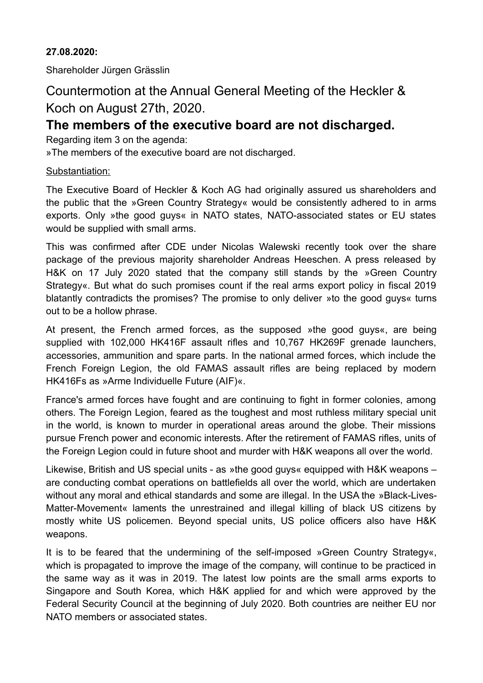## **27.08.2020:**

Shareholder Jürgen Grässlin

# Countermotion at the Annual General Meeting of the Heckler & Koch on August 27th, 2020.

# **The members of the executive board are not discharged.**

Regarding item 3 on the agenda:

»The members of the executive board are not discharged.

## Substantiation:

The Executive Board of Heckler & Koch AG had originally assured us shareholders and the public that the »Green Country Strategy« would be consistently adhered to in arms exports. Only »the good guys« in NATO states, NATO-associated states or EU states would be supplied with small arms.

This was confirmed after CDE under Nicolas Walewski recently took over the share package of the previous majority shareholder Andreas Heeschen. A press released by H&K on 17 July 2020 stated that the company still stands by the »Green Country Strategy«. But what do such promises count if the real arms export policy in fiscal 2019 blatantly contradicts the promises? The promise to only deliver »to the good guys« turns out to be a hollow phrase.

At present, the French armed forces, as the supposed »the good guys«, are being supplied with 102,000 HK416F assault rifles and 10,767 HK269F grenade launchers, accessories, ammunition and spare parts. In the national armed forces, which include the French Foreign Legion, the old FAMAS assault rifles are being replaced by modern HK416Fs as »Arme Individuelle Future (AIF)«.

France's armed forces have fought and are continuing to fight in former colonies, among others. The Foreign Legion, feared as the toughest and most ruthless military special unit in the world, is known to murder in operational areas around the globe. Their missions pursue French power and economic interests. After the retirement of FAMAS rifles, units of the Foreign Legion could in future shoot and murder with H&K weapons all over the world.

Likewise, British and US special units - as »the good guys« equipped with H&K weapons – are conducting combat operations on battlefields all over the world, which are undertaken without any moral and ethical standards and some are illegal. In the USA the »Black-Lives-Matter-Movement« laments the unrestrained and illegal killing of black US citizens by mostly white US policemen. Beyond special units, US police officers also have H&K weapons.

It is to be feared that the undermining of the self-imposed »Green Country Strategy«, which is propagated to improve the image of the company, will continue to be practiced in the same way as it was in 2019. The latest low points are the small arms exports to Singapore and South Korea, which H&K applied for and which were approved by the Federal Security Council at the beginning of July 2020. Both countries are neither EU nor NATO members or associated states.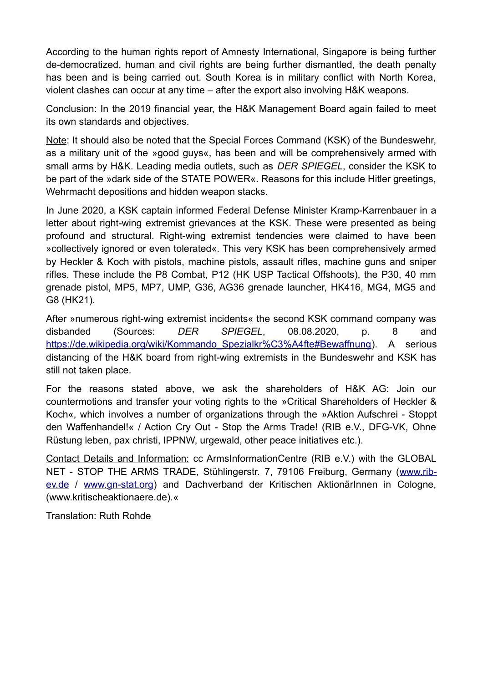According to the human rights report of Amnesty International, Singapore is being further de-democratized, human and civil rights are being further dismantled, the death penalty has been and is being carried out. South Korea is in military conflict with North Korea, violent clashes can occur at any time – after the export also involving H&K weapons.

Conclusion: In the 2019 financial year, the H&K Management Board again failed to meet its own standards and objectives.

Note: It should also be noted that the Special Forces Command (KSK) of the Bundeswehr, as a military unit of the »good guys«, has been and will be comprehensively armed with small arms by H&K. Leading media outlets, such as *DER SPIEGEL*, consider the KSK to be part of the »dark side of the STATE POWER«. Reasons for this include Hitler greetings, Wehrmacht depositions and hidden weapon stacks.

In June 2020, a KSK captain informed Federal Defense Minister Kramp-Karrenbauer in a letter about right-wing extremist grievances at the KSK. These were presented as being profound and structural. Right-wing extremist tendencies were claimed to have been »collectively ignored or even tolerated«. This very KSK has been comprehensively armed by Heckler & Koch with pistols, machine pistols, assault rifles, machine guns and sniper rifles. These include the P8 Combat, P12 (HK USP Tactical Offshoots), the P30, 40 mm grenade pistol, MP5, MP7, UMP, G36, AG36 grenade launcher, HK416, MG4, MG5 and G8 (HK21).

After »numerous right-wing extremist incidents« the second KSK command company was disbanded (Sources: *DER SPIEGEL*, 08.08.2020, p. 8 and https://de.wikipedia.org/wiki/Kommando Spezialkr%C3%A4fte#Bewaffnung). A serious distancing of the H&K board from right-wing extremists in the Bundeswehr and KSK has still not taken place.

For the reasons stated above, we ask the shareholders of H&K AG: Join our countermotions and transfer your voting rights to the »Critical Shareholders of Heckler & Koch«, which involves a number of organizations through the »Aktion Aufschrei - Stoppt den Waffenhandel!« / Action Cry Out - Stop the Arms Trade! (RIB e.V., DFG-VK, Ohne Rüstung leben, pax christi, IPPNW, urgewald, other peace initiatives etc.).

Contact Details and Information: cc ArmsInformationCentre (RIB e.V.) with the GLOBAL NET - STOP THE ARMS TRADE, Stühlingerstr. 7, 79106 Freiburg, Germany ([www.rib](http://www.rib-ev.de/)[ev.de](http://www.rib-ev.de/) / [www.gn-stat.org](http://www.gn-stat.org/)) and Dachverband der Kritischen AktionärInnen in Cologne, (www.kritischeaktionaere.de).«

Translation: Ruth Rohde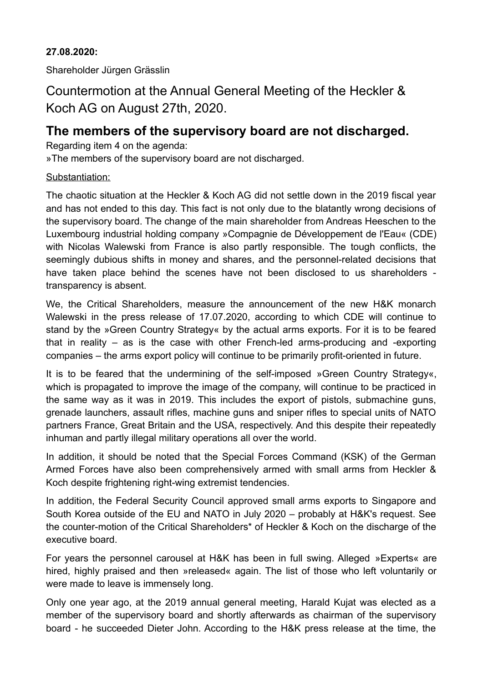## **27.08.2020:**

Shareholder Jürgen Grässlin

Countermotion at the Annual General Meeting of the Heckler & Koch AG on August 27th, 2020.

# **The members of the supervisory board are not discharged.**

Regarding item 4 on the agenda:

»The members of the supervisory board are not discharged.

## Substantiation:

The chaotic situation at the Heckler & Koch AG did not settle down in the 2019 fiscal year and has not ended to this day. This fact is not only due to the blatantly wrong decisions of the supervisory board. The change of the main shareholder from Andreas Heeschen to the Luxembourg industrial holding company »Compagnie de Développement de l'Eau« (CDE) with Nicolas Walewski from France is also partly responsible. The tough conflicts, the seemingly dubious shifts in money and shares, and the personnel-related decisions that have taken place behind the scenes have not been disclosed to us shareholders transparency is absent.

We, the Critical Shareholders, measure the announcement of the new H&K monarch Walewski in the press release of 17.07.2020, according to which CDE will continue to stand by the »Green Country Strategy« by the actual arms exports. For it is to be feared that in reality – as is the case with other French-led arms-producing and -exporting companies – the arms export policy will continue to be primarily profit-oriented in future.

It is to be feared that the undermining of the self-imposed »Green Country Strategy«, which is propagated to improve the image of the company, will continue to be practiced in the same way as it was in 2019. This includes the export of pistols, submachine guns, grenade launchers, assault rifles, machine guns and sniper rifles to special units of NATO partners France, Great Britain and the USA, respectively. And this despite their repeatedly inhuman and partly illegal military operations all over the world.

In addition, it should be noted that the Special Forces Command (KSK) of the German Armed Forces have also been comprehensively armed with small arms from Heckler & Koch despite frightening right-wing extremist tendencies.

In addition, the Federal Security Council approved small arms exports to Singapore and South Korea outside of the EU and NATO in July 2020 – probably at H&K's request. See the counter-motion of the Critical Shareholders\* of Heckler & Koch on the discharge of the executive board.

For years the personnel carousel at H&K has been in full swing. Alleged »Experts« are hired, highly praised and then »released« again. The list of those who left voluntarily or were made to leave is immensely long.

Only one year ago, at the 2019 annual general meeting, Harald Kujat was elected as a member of the supervisory board and shortly afterwards as chairman of the supervisory board - he succeeded Dieter John. According to the H&K press release at the time, the